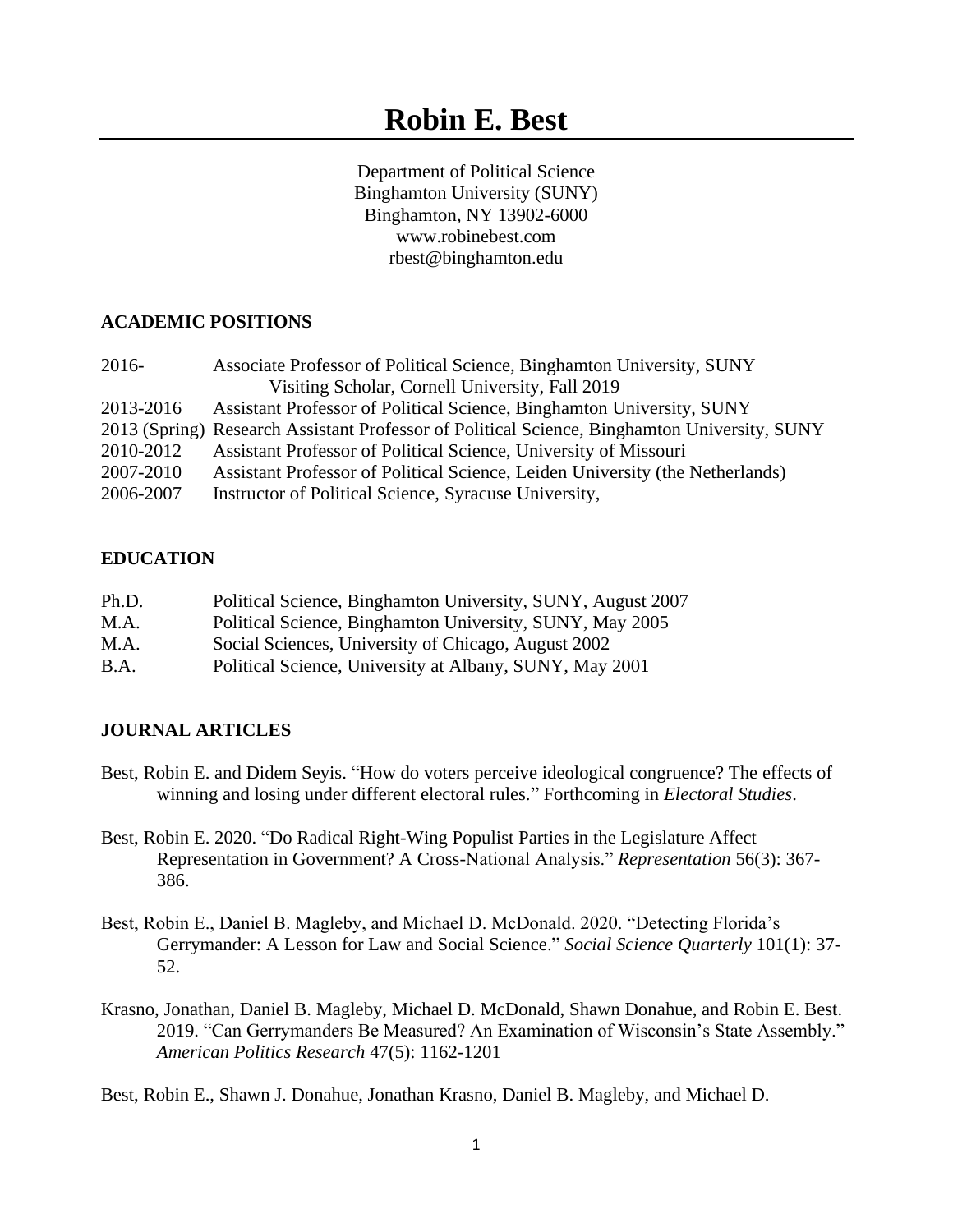Department of Political Science Binghamton University (SUNY) Binghamton, NY 13902-6000 www.robinebest.com rbest@binghamton.edu

# **ACADEMIC POSITIONS**

| $2016-$   | Associate Professor of Political Science, Binghamton University, SUNY                        |
|-----------|----------------------------------------------------------------------------------------------|
|           | Visiting Scholar, Cornell University, Fall 2019                                              |
| 2013-2016 | Assistant Professor of Political Science, Binghamton University, SUNY                        |
|           | 2013 (Spring) Research Assistant Professor of Political Science, Binghamton University, SUNY |
| 2010-2012 | Assistant Professor of Political Science, University of Missouri                             |
| 2007-2010 | Assistant Professor of Political Science, Leiden University (the Netherlands)                |
| 2006-2007 | Instructor of Political Science, Syracuse University,                                        |

## **EDUCATION**

| Ph.D.       | Political Science, Binghamton University, SUNY, August 2007 |
|-------------|-------------------------------------------------------------|
| M.A.        | Political Science, Binghamton University, SUNY, May 2005    |
| M.A.        | Social Sciences, University of Chicago, August 2002         |
| <b>B.A.</b> | Political Science, University at Albany, SUNY, May 2001     |

# **JOURNAL ARTICLES**

- Best, Robin E. and Didem Seyis. "How do voters perceive ideological congruence? The effects of winning and losing under different electoral rules." Forthcoming in *Electoral Studies*.
- Best, Robin E. 2020. "Do Radical Right-Wing Populist Parties in the Legislature Affect Representation in Government? A Cross-National Analysis." *Representation* 56(3): 367- 386.
- Best, Robin E., Daniel B. Magleby, and Michael D. McDonald. 2020. "Detecting Florida's Gerrymander: A Lesson for Law and Social Science." *Social Science Quarterly* 101(1): 37- 52.
- Krasno, Jonathan, Daniel B. Magleby, Michael D. McDonald, Shawn Donahue, and Robin E. Best. 2019. "Can Gerrymanders Be Measured? An Examination of Wisconsin's State Assembly." *American Politics Research* 47(5): 1162-1201

Best, Robin E., Shawn J. Donahue, Jonathan Krasno, Daniel B. Magleby, and Michael D.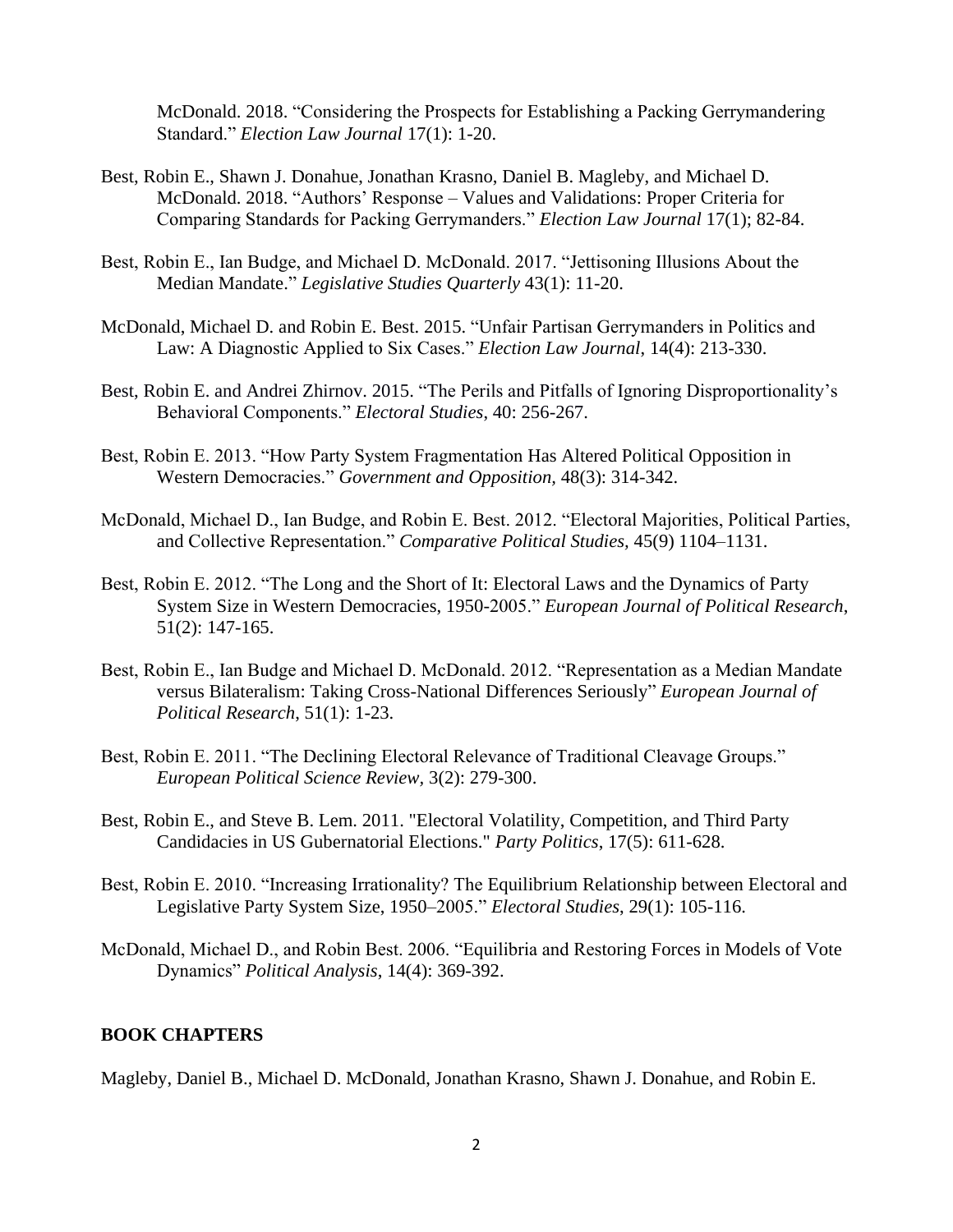McDonald. 2018. "Considering the Prospects for Establishing a Packing Gerrymandering Standard." *Election Law Journal* 17(1): 1-20.

- Best, Robin E., Shawn J. Donahue, Jonathan Krasno, Daniel B. Magleby, and Michael D. McDonald. 2018. "Authors' Response – Values and Validations: Proper Criteria for Comparing Standards for Packing Gerrymanders." *Election Law Journal* 17(1); 82-84.
- Best, Robin E., Ian Budge, and Michael D. McDonald. 2017. "Jettisoning Illusions About the Median Mandate." *Legislative Studies Quarterly* 43(1): 11-20.
- McDonald, Michael D. and Robin E. Best. 2015. "Unfair Partisan Gerrymanders in Politics and Law: A Diagnostic Applied to Six Cases." *Election Law Journal*, 14(4): 213-330.
- Best, Robin E. and Andrei Zhirnov. 2015. "The Perils and Pitfalls of Ignoring Disproportionality's Behavioral Components." *Electoral Studies*, 40: 256-267.
- Best, Robin E. 2013. "How Party System Fragmentation Has Altered Political Opposition in Western Democracies." *Government and Opposition,* 48(3): 314-342.
- McDonald, Michael D., Ian Budge, and Robin E. Best. 2012. "Electoral Majorities, Political Parties, and Collective Representation." *Comparative Political Studies,* 45(9) 1104–1131.
- Best, Robin E. 2012. "The Long and the Short of It: Electoral Laws and the Dynamics of Party System Size in Western Democracies, 1950-2005." *European Journal of Political Research*, 51(2): 147-165.
- Best, Robin E., Ian Budge and Michael D. McDonald. 2012. "Representation as a Median Mandate versus Bilateralism: Taking Cross-National Differences Seriously" *European Journal of Political Research*, 51(1): 1-23.
- Best, Robin E. 2011. "The Declining Electoral Relevance of Traditional Cleavage Groups." *European Political Science Review,* 3(2): 279-300.
- Best, Robin E., and Steve B. Lem. 2011. "Electoral Volatility, Competition, and Third Party Candidacies in US Gubernatorial Elections." *Party Politics*, 17(5): 611-628.
- Best, Robin E. 2010. "Increasing Irrationality? The Equilibrium Relationship between Electoral and Legislative Party System Size, 1950–2005." *Electoral Studies*, 29(1): 105-116.
- McDonald, Michael D., and Robin Best. 2006. "Equilibria and Restoring Forces in Models of Vote Dynamics" *Political Analysis*, 14(4): 369-392.

## **BOOK CHAPTERS**

Magleby, Daniel B., Michael D. McDonald, Jonathan Krasno, Shawn J. Donahue, and Robin E.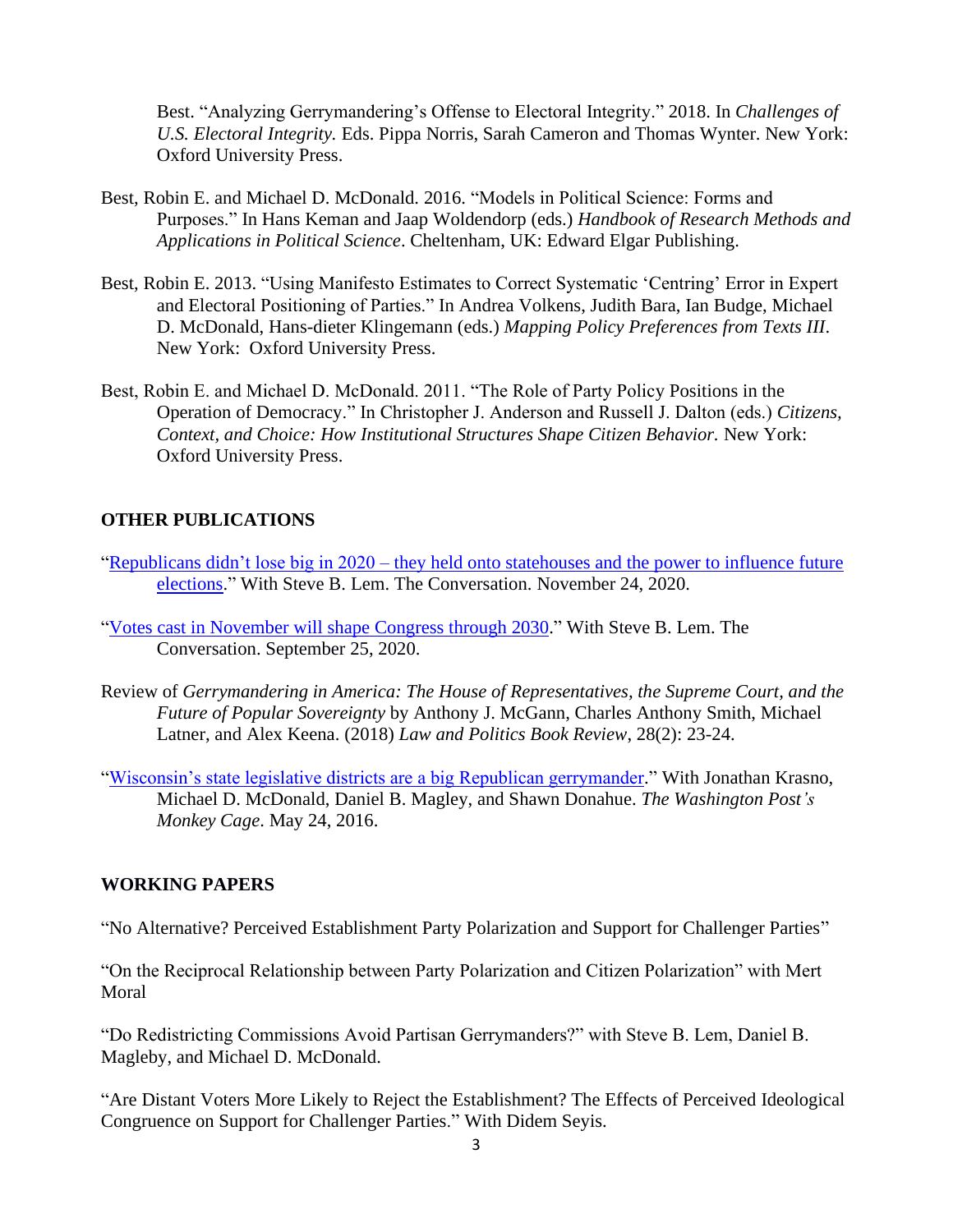Best. "Analyzing Gerrymandering's Offense to Electoral Integrity." 2018. In *Challenges of U.S. Electoral Integrity.* Eds. Pippa Norris, Sarah Cameron and Thomas Wynter. New York: Oxford University Press.

- Best, Robin E. and Michael D. McDonald. 2016. "Models in Political Science: Forms and Purposes." In Hans Keman and Jaap Woldendorp (eds.) *Handbook of Research Methods and Applications in Political Science*. Cheltenham, UK: Edward Elgar Publishing.
- Best, Robin E. 2013. "Using Manifesto Estimates to Correct Systematic 'Centring' Error in Expert and Electoral Positioning of Parties." In Andrea Volkens, Judith Bara, Ian Budge, Michael D. McDonald, Hans-dieter Klingemann (eds.) *Mapping Policy Preferences from Texts III*. New York: Oxford University Press.
- Best, Robin E. and Michael D. McDonald. 2011. "The Role of Party Policy Positions in the Operation of Democracy." In Christopher J. Anderson and Russell J. Dalton (eds.) *Citizens, Context, and Choice: How Institutional Structures Shape Citizen Behavior.* New York: Oxford University Press.

## **OTHER PUBLICATIONS**

- "Republicans didn't lose big in 2020 [they held onto statehouses and the power to influence future](https://theconversation.com/republicans-didnt-lose-big-in-2020-they-held-onto-statehouses-and-the-power-to-influence-future-elections-150237?fbclid=IwAR20Oh6VqTj6jF_CqaGwlmuEJdkVju0kZ2u2w3afyEipD4VeMcYFBmZLKBs)  [elections.](https://theconversation.com/republicans-didnt-lose-big-in-2020-they-held-onto-statehouses-and-the-power-to-influence-future-elections-150237?fbclid=IwAR20Oh6VqTj6jF_CqaGwlmuEJdkVju0kZ2u2w3afyEipD4VeMcYFBmZLKBs)" With Steve B. Lem. The Conversation. November 24, 2020.
- "Votes [cast in November will shape Congress through 2030.](https://theconversation.com/votes-cast-in-november-will-shape-congress-through-2030-146276?fbclid=IwAR2IAMBs0yToAvXVPU-cIbyzKUEsH1HAn8el-_Hucug_Ytw2gZ8coYrtzos)" With Steve B. Lem. The Conversation. September 25, 2020.
- Review of *Gerrymandering in America: The House of Representatives, the Supreme Court, and the Future of Popular Sovereignty* by Anthony J. McGann, Charles Anthony Smith, Michael Latner, and Alex Keena. (2018) *Law and Politics Book Review*, 28(2): 23-24.
- ["Wisconsin's state legislative districts are a big Republican gerrymander.](https://www.washingtonpost.com/news/monkey-cage/wp/2016/05/24/wisconsins-state-legislative-districts-are-a-big-republican-gerrymander/)" With Jonathan Krasno, Michael D. McDonald, Daniel B. Magley, and Shawn Donahue. *The Washington Post's Monkey Cage*. May 24, 2016.

## **WORKING PAPERS**

"No Alternative? Perceived Establishment Party Polarization and Support for Challenger Parties"

"On the Reciprocal Relationship between Party Polarization and Citizen Polarization" with Mert Moral

"Do Redistricting Commissions Avoid Partisan Gerrymanders?" with Steve B. Lem, Daniel B. Magleby, and Michael D. McDonald.

"Are Distant Voters More Likely to Reject the Establishment? The Effects of Perceived Ideological Congruence on Support for Challenger Parties." With Didem Seyis.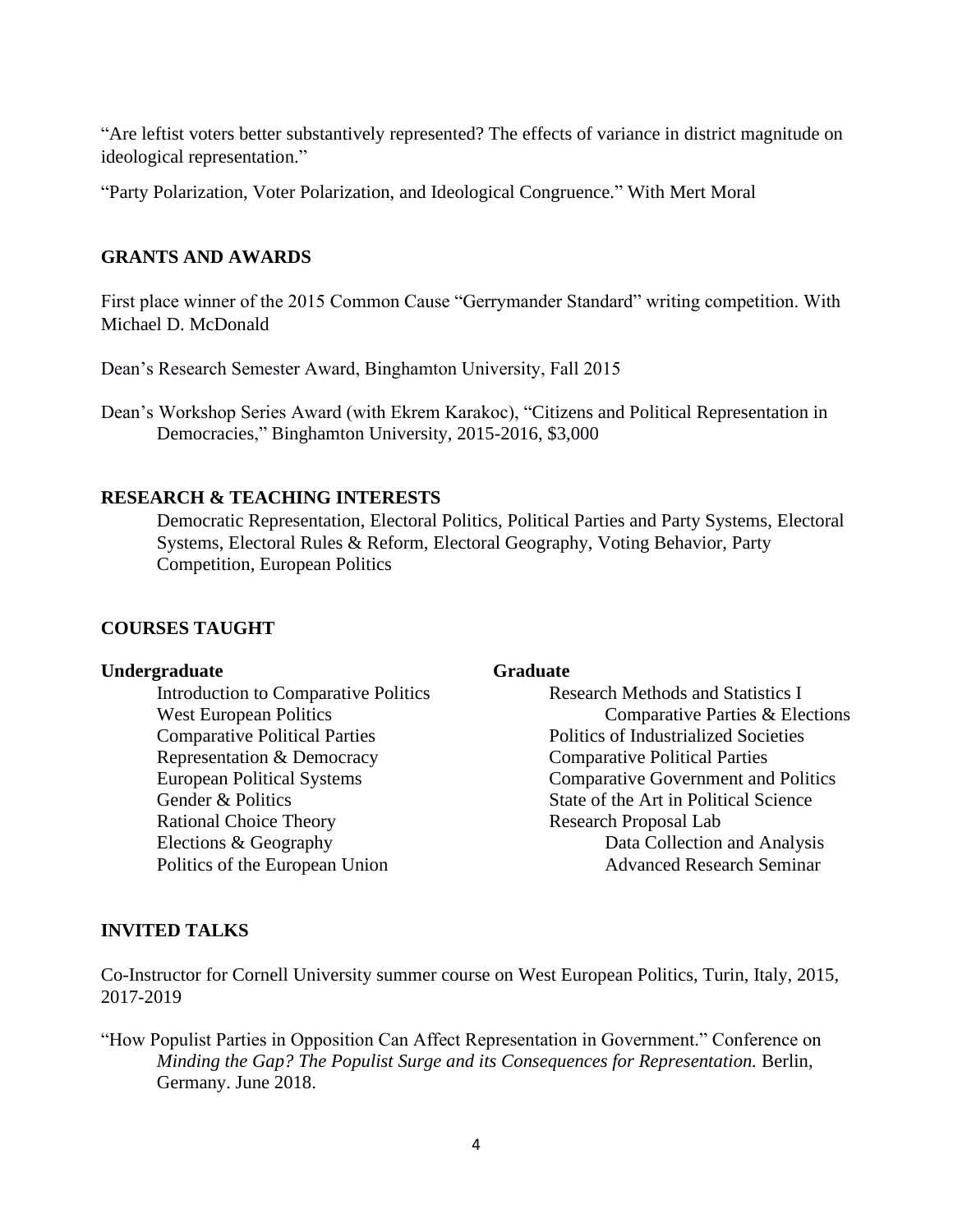"Are leftist voters better substantively represented? The effects of variance in district magnitude on ideological representation."

"Party Polarization, Voter Polarization, and Ideological Congruence." With Mert Moral

# **GRANTS AND AWARDS**

First place winner of the 2015 Common Cause "Gerrymander Standard" writing competition. With Michael D. McDonald

Dean's Research Semester Award, Binghamton University, Fall 2015

Dean's Workshop Series Award (with Ekrem Karakoc), "Citizens and Political Representation in Democracies," Binghamton University, 2015-2016, \$3,000

## **RESEARCH & TEACHING INTERESTS**

Democratic Representation, Electoral Politics, Political Parties and Party Systems, Electoral Systems, Electoral Rules & Reform, Electoral Geography, Voting Behavior, Party Competition, European Politics

## **COURSES TAUGHT**

### **Undergraduate Graduate**

Comparative Political Parties Politics of Industrialized Societies Representation & Democracy Comparative Political Parties Rational Choice Theory Research Proposal Lab

Introduction to Comparative Politics Research Methods and Statistics I West European Politics **Comparative Parties & Elections** European Political Systems Comparative Government and Politics Gender & Politics State of the Art in Political Science Elections & Geography Data Collection and Analysis Politics of the European Union Advanced Research Seminar

## **INVITED TALKS**

Co-Instructor for Cornell University summer course on West European Politics, Turin, Italy, 2015, 2017-2019

"How Populist Parties in Opposition Can Affect Representation in Government." Conference on *Minding the Gap? The Populist Surge and its Consequences for Representation. Berlin,* Germany. June 2018.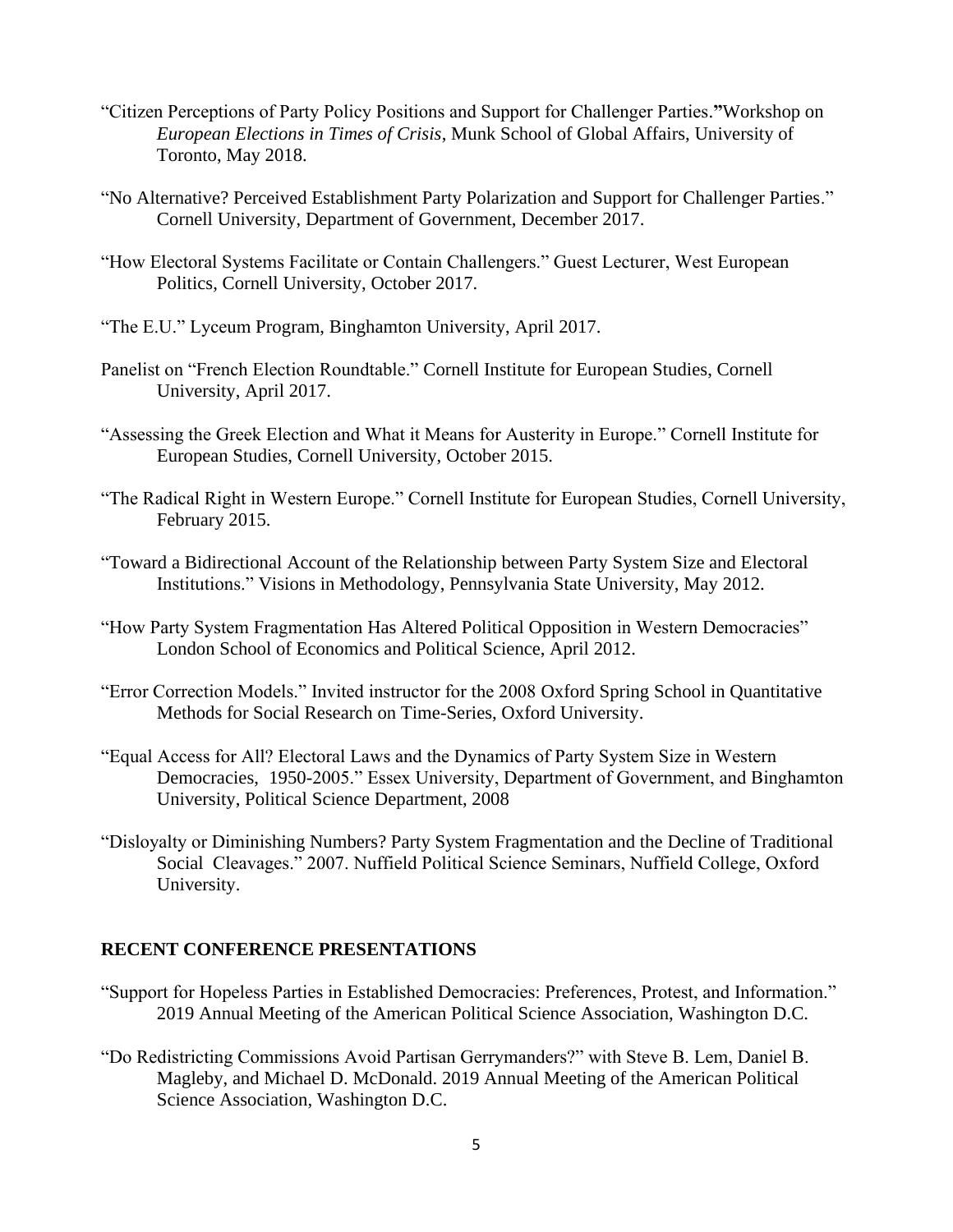- "Citizen Perceptions of Party Policy Positions and Support for Challenger Parties.**"**Workshop on *European Elections in Times of Crisis*, Munk School of Global Affairs, University of Toronto, May 2018.
- "No Alternative? Perceived Establishment Party Polarization and Support for Challenger Parties." Cornell University, Department of Government, December 2017.
- "How Electoral Systems Facilitate or Contain Challengers." Guest Lecturer, West European Politics, Cornell University, October 2017.
- "The E.U." Lyceum Program, Binghamton University, April 2017.
- Panelist on "French Election Roundtable." Cornell Institute for European Studies, Cornell University, April 2017.
- "Assessing the Greek Election and What it Means for Austerity in Europe." Cornell Institute for European Studies, Cornell University, October 2015.
- "The Radical Right in Western Europe." Cornell Institute for European Studies, Cornell University, February 2015.
- "Toward a Bidirectional Account of the Relationship between Party System Size and Electoral Institutions." Visions in Methodology, Pennsylvania State University, May 2012.
- "How Party System Fragmentation Has Altered Political Opposition in Western Democracies" London School of Economics and Political Science, April 2012.
- "Error Correction Models." Invited instructor for the 2008 Oxford Spring School in Quantitative Methods for Social Research on Time-Series, Oxford University.
- "Equal Access for All? Electoral Laws and the Dynamics of Party System Size in Western Democracies, 1950-2005." Essex University, Department of Government, and Binghamton University, Political Science Department, 2008
- "Disloyalty or Diminishing Numbers? Party System Fragmentation and the Decline of Traditional Social Cleavages." 2007. Nuffield Political Science Seminars, Nuffield College, Oxford University.

# **RECENT CONFERENCE PRESENTATIONS**

- "Support for Hopeless Parties in Established Democracies: Preferences, Protest, and Information." 2019 Annual Meeting of the American Political Science Association, Washington D.C.
- "Do Redistricting Commissions Avoid Partisan Gerrymanders?" with Steve B. Lem, Daniel B. Magleby, and Michael D. McDonald. 2019 Annual Meeting of the American Political Science Association, Washington D.C.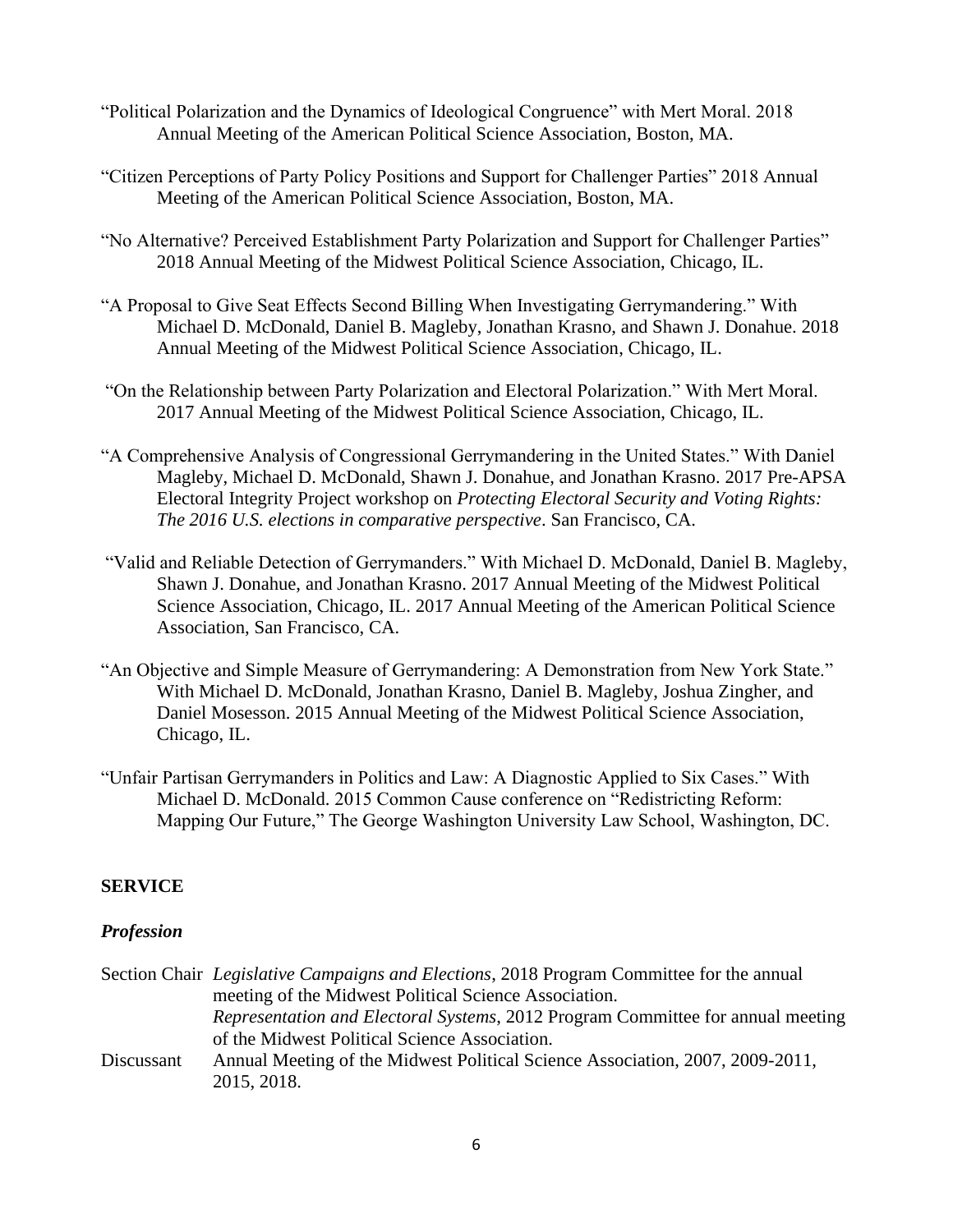- "Political Polarization and the Dynamics of Ideological Congruence" with Mert Moral. 2018 Annual Meeting of the American Political Science Association, Boston, MA.
- "Citizen Perceptions of Party Policy Positions and Support for Challenger Parties" 2018 Annual Meeting of the American Political Science Association, Boston, MA.
- "No Alternative? Perceived Establishment Party Polarization and Support for Challenger Parties" 2018 Annual Meeting of the Midwest Political Science Association, Chicago, IL.
- "A Proposal to Give Seat Effects Second Billing When Investigating Gerrymandering." With Michael D. McDonald, Daniel B. Magleby, Jonathan Krasno, and Shawn J. Donahue. 2018 Annual Meeting of the Midwest Political Science Association, Chicago, IL.
- "On the Relationship between Party Polarization and Electoral Polarization." With Mert Moral. 2017 Annual Meeting of the Midwest Political Science Association, Chicago, IL.
- "A Comprehensive Analysis of Congressional Gerrymandering in the United States." With Daniel Magleby, Michael D. McDonald, Shawn J. Donahue, and Jonathan Krasno. 2017 Pre-APSA Electoral Integrity Project workshop on *Protecting Electoral Security and Voting Rights: The 2016 U.S. elections in comparative perspective*. San Francisco, CA.
- "Valid and Reliable Detection of Gerrymanders." With Michael D. McDonald, Daniel B. Magleby, Shawn J. Donahue, and Jonathan Krasno. 2017 Annual Meeting of the Midwest Political Science Association, Chicago, IL. 2017 Annual Meeting of the American Political Science Association, San Francisco, CA.
- "An Objective and Simple Measure of Gerrymandering: A Demonstration from New York State." With Michael D. McDonald, Jonathan Krasno, Daniel B. Magleby, Joshua Zingher, and Daniel Mosesson. 2015 Annual Meeting of the Midwest Political Science Association, Chicago, IL.
- "Unfair Partisan Gerrymanders in Politics and Law: A Diagnostic Applied to Six Cases." With Michael D. McDonald. 2015 Common Cause conference on "Redistricting Reform: Mapping Our Future," The George Washington University Law School, Washington, DC.

# **SERVICE**

# *Profession*

|            | Section Chair <i>Legislative Campaigns and Elections</i> , 2018 Program Committee for the annual |
|------------|--------------------------------------------------------------------------------------------------|
|            | meeting of the Midwest Political Science Association.                                            |
|            | <i>Representation and Electoral Systems, 2012 Program Committee for annual meeting</i>           |
|            | of the Midwest Political Science Association.                                                    |
| Discussant | Annual Meeting of the Midwest Political Science Association, 2007, 2009-2011,                    |
|            | 2015, 2018.                                                                                      |